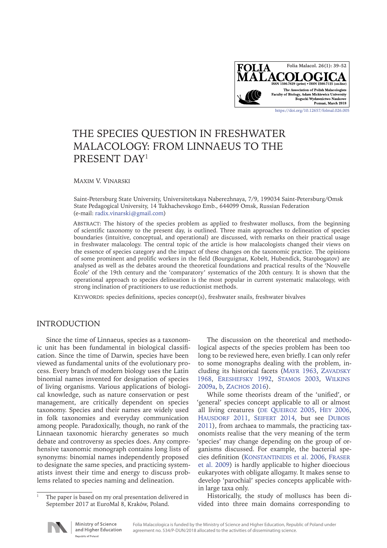

# THE SPECIES QUESTION IN FRESHWATER MALACOLOGY: FROM LINNAEUS TO THE PRESENT DAY<sup>1</sup>

Maxim V. Vinarski

Saint-Petersburg State University, Universitetskaya Naberezhnaya, 7/9, 199034 Saint-Petersburg/Omsk State Pedagogical University, 14 Tukhachevskogo Emb., 644099 Omsk, Russian Federation (e-mail: [radix.vinarski@gmail.com\)](mailto:radix.vinarski%40gmail.com?subject=Folia%20Malacologica)

ABSTRACT: The history of the species problem as applied to freshwater molluscs, from the beginning of scientific taxonomy to the present day, is outlined. Three main approaches to delineation of species boundaries (intuitive, conceptual, and operational) are discussed, with remarks on their practical usage in freshwater malacology. The central topic of the article is how malacologists changed their views on the essence of species category and the impact of these changes on the taxonomic practice. The opinions of some prominent and prolific workers in the field (Bourguignat, Kobelt, Hubendick, Starobogatov) are analysed as well as the debates around the theoretical foundations and practical results of the 'Nouvelle École' of the 19th century and the 'comparatory' systematics of the 20th century. It is shown that the operational approach to species delineation is the most popular in current systematic malacology, with strong inclination of practitioners to use reductionist methods.

Keywords: species definitions, species concept(s), freshwater snails, freshwater bivalves

# INTRODUCTION

Since the time of Linnaeus, species as a taxonomic unit has been fundamental in biological classification. Since the time of Darwin, species have been viewed as fundamental units of the evolutionary process. Every branch of modern biology uses the Latin binomial names invented for designation of species of living organisms. Various applications of biological knowledge, such as nature conservation or pest management, are critically dependent on species taxonomy. Species and their names are widely used in folk taxonomies and everyday communication among people. Paradoxically, though, no rank of the Linnaean taxonomic hierarchy generates so much debate and controversy as species does. Any comprehensive taxonomic monograph contains long lists of synonyms: binomial names independently proposed to designate the same species, and practicing systematists invest their time and energy to discuss problems related to species naming and delineation.

The discussion on the theoretical and methodological aspects of the species problem has been too long to be reviewed here, even briefly. I can only refer to some monographs dealing with the problem, in-cluding its historical facets (MAYR [1963](#page-11-0), ZAVADSKY 1968, [Ereshefsky](#page-9-0) 1992, [Stamos](#page-12-0) 2003, [Wilkins](#page-12-1) [2009a,](#page-12-1) [b,](#page-12-2) ZACHOS 2016).

While some theorists dream of the 'unified', or 'general' species concept applicable to all or almost all living creatures (DE QUEIROZ 2005, HEY [2006,](#page-10-0) HAUSDORF 2011, SEIFERT [2014,](#page-11-2) but see DUBOIS 2011), from archaea to mammals, the practicing taxonomists realise that the very meaning of the term 'species' may change depending on the group of organisms discussed. For example, the bacterial species definition ([Konstantinidis](#page-10-2) et al. 2006, [Fraser](#page-9-1) [et al. 2009](#page-9-1)) is hardly applicable to higher dioecious eukaryotes with obligate allogamy. It makes sense to develop 'parochial' species concepts applicable within large taxa only.

Historically, the study of molluscs has been divided into three main domains corresponding to



The paper is based on my oral presentation delivered in September 2017 at EuroMal 8, Kraków, Poland.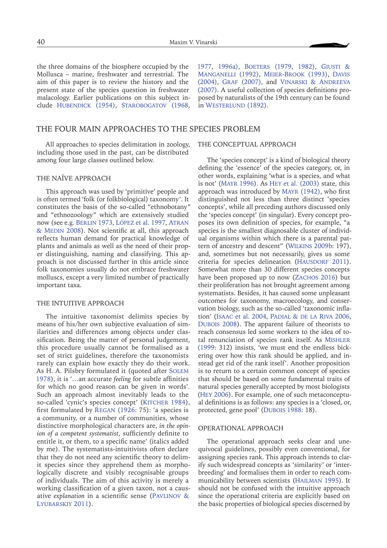the three domains of the biosphere occupied by the Mollusca – marine, freshwater and terrestrial. The aim of this paper is to review the history and the present state of the species question in freshwater malacology. Earlier publications on this subject include HUBENDICK (1954), STAROBOGATOV (1968,

[1977,](#page-12-4) [1996a\),](#page-12-5) BOETERS (1979, 1982), GIUSTI & [Manganelli](#page-10-4) (1992), [Meier-Brook](#page-11-3) (1993), Davis (2004), Graf [\(2007\),](#page-10-5) and Vinarski & [Andreeva](#page-12-6) [\(2007\)](#page-12-6). A useful collection of species definitions proposed by naturalists of the 19th century can be found in WESTERLUND (1892).

## THE FOUR MAIN APPROACHES TO THE SPECIES PROBLEM

All approaches to species delimitation in zoology, including those used in the past, can be distributed among four large classes outlined below.

### THE NAÏVE APPROACH

This approach was used by 'primitive' people and is often termed 'folk (or folkbiological) taxonomy'. It constitutes the basis of the so-called "ethnobotany" and "ethnozoology" which are extensively studied now (see e.g. BERLIN 1973, LÓPEZ et al. 1997, ATRAN & MEDIN [2008](#page-8-2)). Not scientific at all, this approach reflects human demand for practical knowledge of plants and animals as well as the need of their proper distinguishing, naming and classifying. This approach is not discussed further in this article since folk taxonomies usually do not embrace freshwater molluscs, except a very limited number of practically important taxa.

#### THE INTUITIVE APPROACH

The intuitive taxonomist delimits species by means of his/her own subjective evaluation of similarities and differences among objects under classification. Being the matter of personal judgement, this procedure usually cannot be formalised as a set of strict guidelines, therefore the taxonomists rarely can explain how exactly they do their work. As H. A. Pilsbry formulated it (quoted after S[olem](#page-12-8) [1978](#page-12-8)), it is '…an accurate *feeling* for subtle affinities for which no good reason can be given in words'. Such an approach almost inevitably leads to the so-called 'cynic's species concept' (KITCHER [1984\)](#page-10-6), first formulated by [Regan](#page-11-4) (1926: 75): 'a species is a community, or a number of communities, whose distinctive morphological characters are, *in the opinion of a competent systematist*, sufficiently definite to entitle it, or them, to a specific name' (italics added by me). The systematists-intuitivists often declare that they do not need any scientific theory to delimit species since they apprehend them as morphologically discrete and visibly recognisable groups of individuals. The aim of this activity is merely a working classification of a given taxon, not a causative *explanation* in a scientific sense ([Pavlinov](#page-11-5) & [Lyubarskiy](#page-11-5) 2011).

#### THE CONCEPTUAL APPROACH

The 'species concept' is a kind of biological theory defining the 'essence' of the species category, or, in other words, explaining 'what is a species, and what is not' (Mayr [1996\)](#page-11-6). As Hey [et al. \(2003\)](#page-10-7) state, this approach was introduced by Mayr [\(1942\)](#page-11-7), who first distinguished not less than three distinct 'species concepts', while all preceding authors discussed only the 'species concept' (in singular). Every concept proposes its own definition of species, for example, "a species is the smallest diagnosable cluster of individual organisms within which there is a parental pattern of ancestry and descent" (Wilkins [2009b](#page-12-2): 197), and, sometimes but not necessarily, gives us some criteria for species delineation (HAUSDORF 2011). Somewhat more than 30 different species concepts have been proposed up to now (ZACHOS 2016) but their proliferation has not brought agreement among systematists. Besides, it has caused some unpleasant outcomes for taxonomy, macroecology, and conservation biology, such as the so-called 'taxonomic inflation' (ISAAC [et al. 2004,](#page-10-8) PADIAL & DE LA RIVA [2006,](#page-11-8) Dubois [2008\)](#page-9-2). The apparent failure of theorists to reach consensus led some workers to the idea of total renunciation of species rank itself. As M[ishler](#page-11-9) [\(1999](#page-11-9): 312) insists, 'we must end the endless bickering over how this rank should be applied, and instead get rid of the rank itself'. Another proposition is to return to a certain common concept of species that should be based on some fundamental traits of natural species generally accepted by most biologists (Hey [2006\)](#page-10-0). For example, one of such metaconceptual definitions is as follows: any species is a 'closed, or, protected, gene pool' (DUBOIS 1988: 18).

#### OPERATIONAL APPROACH

The operational approach seeks clear and unequivocal guidelines, possibly even conventional, for assigning species rank. This approach intends to clarify such widespread concepts as 'similarity' or 'interbreeding' and formalises them in order to reach communicability between scientists (H[ailman](#page-10-9) 1995). It should not be confused with the intuitive approach since the operational criteria are explicitly based on the basic properties of biological species discerned by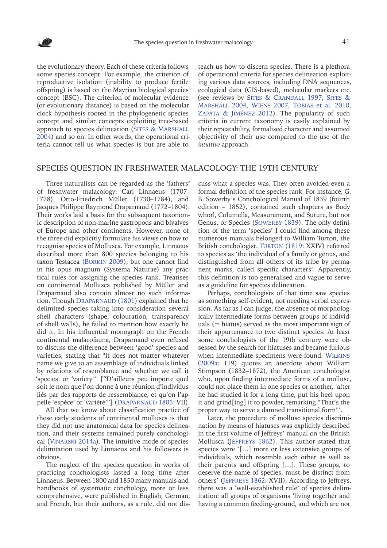the evolutionary theory. Each of these criteria follows some species concept. For example, the criterion of reproductive isolation (inability to produce fertile offspring) is based on the Mayrian biological species concept (BSC). The criterion of molecular evidence (or evolutionary distance) is based on the molecular clock hypothesis rooted in the phylogenetic species concept and similar concepts exploiting tree-based approach to species delineation (SITES & MARSHALL [2004\)](#page-12-9) and so on. In other words, the operational criteria cannot tell us what species is but are able to

teach us how to discern species. There is a plethora of operational criteria for species delineation exploiting various data sources, including DNA sequences, ecological data (GIS-based), molecular markers etc. (see reviews by Sites & [Crandall 1997](#page-12-10), [Sites](#page-12-9) & [Marshall](#page-12-9) 2004, [Wiens 2007](#page-12-11), [Tobias](#page-12-12) et al. 2010, Zapata & Jiménez 2012). The popularity of such criteria in current taxonomy is easily explained by their repeatability, formalised character and assumed objectivity of their use compared to the use of the *intuitive* approach.

## SPECIES QUESTION IN FRESHWATER MALACOLOGY: THE 19TH CENTURY

Three naturalists can be regarded as the 'fathers' of freshwater malacology: Carl Linnaeus (1707– 1778), Otto-Friedrich Müller (1730–1784), and Jacques Philippe Raymond Draparnaud (1772–1804). Their works laid a basis for the subsequent taxonomic description of non-marine gastropods and bivalves of Europe and other continents. However, none of the three did explicitly formulate his views on how to recognise species of Mollusca. For example, Linnaeus described more than 800 species belonging to his taxon Testacea (Borkin [2009](#page-9-3)), but one cannot find in his opus magnum (Systema Naturae) any practical rules for assigning the species rank. Treatises on continental Mollusca published by Müller and Draparnaud also contain almost no such information. Though DRAPARNAUD (1801) explained that he delimited species taking into consideration several shell characters (shape, colouration, transparency of shell walls), he failed to mention how exactly he did it. In his influential monograph on the French continental malacofauna, Draparnaud even refused to discuss the difference between 'good' species and varieties, stating that "it does not matter whatever name we give to an assemblage of individuals linked by relations of resemblance and whether we call it 'species' or 'variety'" ["D'ailleurs peu importe quel soit le nom que l'on donne à une réunion d'individus liés par des rapports de ressemblance, et qu'on l'appelle 'espéce' or 'variété'"] (DRAPARNAUD 1805: VII).

All that we know about classification practice of these early students of continental molluscs is that they did not use anatomical data for species delineation, and their systems remained purely conchological (V[inarski](#page-12-13) 2014a). The intuitive mode of species delimitation used by Linnaeus and his followers is obvious.

The neglect of the species question in works of practicing conchologists lasted a long time after Linnaeus. Between 1800 and 1850 many manuals and handbooks of systematic conchology, more or less comprehensive, were published in English, German, and French, but their authors, as a rule, did not dis-

cuss what a species was. They often avoided even a formal definition of the species rank. For instance, G. B. Sowerby's Conchological Manual of 1839 (fourth edition – 1852), contained such chapters as Body whorl, Columella, Measurement, and Suture, but not Genus, or Species (SOWERBY 1839). The only definition of the term 'species' I could find among these numerous manuals belonged to William Turton, the British conchologist. TURTON [\(1819](#page-12-15): XXIV) referred to species as 'the individual of a family or genus, and distinguished from all others of its tribe by permanent marks, called specific characters'. Apparently, this definition is too generalised and vague to serve as a guideline for species delineation.

Perhaps, conchologists of that time saw species as something self-evident, not needing verbal expression. As far as I can judge, the absence of morphologically intermediate forms between groups of individuals (= hiatus) served as the most important sign of their appurtenance to two distinct species. At least some conchologists of the 19th century were obsessed by the search for hiatuses and became furious when intermediate specimens were found. [Wilkins](#page-12-1) [\(2009a:](#page-12-1) 119) quotes an anecdote about William Stimpson (1832–1872), the American conchologist who, upon finding intermediate forms of a mollusc, could not place them in one species or another, 'after he had studied it for a long time, put his heel upon it and grind[ing] it to powder, remarking "That's the proper way to serve a damned transitional form"'.

Later, the procedure of mollusc species discrimination by means of hiatuses was explicitly described in the first volume of Jeffreys' manual on the British Mollusca (J[effreys](#page-10-10) 1862). This author stated that species were '[…] more or less extensive groups of individuals, which resemble each other as well as their parents and offspring […]. These groups, to deserve the name of species, must be distinct from others' (J[effreys](#page-10-10) 1862: XVII). According to Jeffreys, there was a 'well-established rule' of species delimitation: all groups of organisms 'living together and having a common feeding-ground, and which are not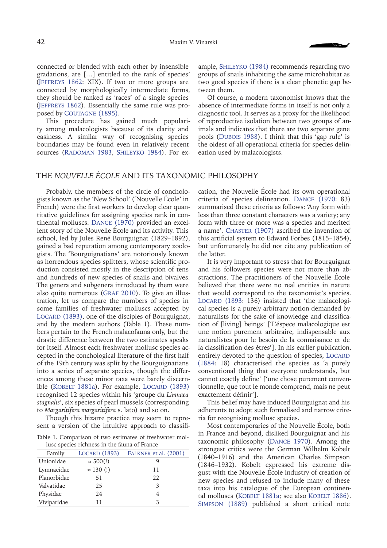connected or blended with each other by insensible gradations, are […] entitled to the rank of species' (J[effreys](#page-10-10) 1862: XIX). If two or more groups are connected by morphologically intermediate forms, they should be ranked as 'races' of a single species (J[effreys](#page-10-10) 1862). Essentially the same rule was proposed by COUTAGNE (1895).

This procedure has gained much popularity among malacologists because of its clarity and easiness. A similar way of recognising species boundaries may be found even in relatively recent sources (RADOMAN 1983, SHILEYKO 1984). For ex-

ample, [Shileyko](#page-11-11) (1984) recommends regarding two groups of snails inhabiting the same microhabitat as two good species if there is a clear phenetic gap between them.

Of course, a modern taxonomist knows that the absence of intermediate forms in itself is not only a diagnostic tool. It serves as a proxy for the likelihood of reproductive isolation between two groups of animals and indicates that there are two separate gene pools (DUBOIS 1988). I think that this 'gap rule' is the oldest of all operational criteria for species delineation used by malacologists.

# THE *NOUVELLE ÉCOLE* AND ITS TAXONOMIC PHILOSOPHY

Probably, the members of the circle of conchologists known as the 'New School' ('Nouvelle École' in French) were the first workers to develop clear quantitative guidelines for assigning species rank in continental molluscs. Dance (1970) provided an excellent story of the Nouvelle École and its activity. This school, led by Jules René Bourguignat (1829–1892), gained a bad reputation among contemporary zoologists. The 'Bourguignatians' are notoriously known as horrendous species splitters, whose scientific production consisted mostly in the description of tens and hundreds of new species of snails and bivalves. The genera and subgenera introduced by them were also quite numerous (GRAF 2010). To give an illustration, let us compare the numbers of species in some families of freshwater molluscs accepted by LOCARD (1893), one of the disciples of Bourguignat, and by the modern authors (Table 1). These numbers pertain to the French malacofauna only, but the drastic difference between the two estimates speaks for itself. Almost each freshwater mollusc species accepted in the conchological literature of the first half of the 19th century was split by the Bourguignatians into a series of separate species, though the differences among these minor taxa were barely discernible (KOBELT 1881a). For example, LOCARD (1893) recognised 12 species within his 'groupe du *Limnaea stagnalis*', six species of pearl mussels (corresponding to *Margaritifera margaritifera* s. lato) and so on.

Though this bizarre practice may seem to represent a version of the intuitive approach to classifi-

Table 1. Comparison of two estimates of freshwater mollusc species richness in the fauna of France

| Family      | LOCARD (1893)     | FALKNER et al. (2001) |
|-------------|-------------------|-----------------------|
| Unionidae   | $\approx 500$ (!) |                       |
| Lymnaeidae  | $\approx$ 130 (!) | 11                    |
| Planorbidae | 51                | 22.                   |
| Valvatidae  | 25                | 3                     |
| Physidae    | 24                |                       |
| Viviparidae | 11                | 3                     |

cation, the Nouvelle École had its own operational criteria of species delineation. Dance (1970: 83) summarised these criteria as follows: 'Any form with less than three constant characters was a variety; any form with three or more was a species and merited a name'. CHASTER (1907) ascribed the invention of this artificial system to Edward Forbes (1815–1854), but unfortunately he did not cite any publication of the latter.

It is very important to stress that for Bourguignat and his followers species were not more than abstractions. The practitioners of the Nouvelle École believed that there were no real entities in nature that would correspond to the taxonomist's species. LOCARD (1893: 136) insisted that 'the malacological species is a purely arbitrary notion demanded by naturalists for the sake of knowledge and classification of [living] beings' ['L'éspece malacologique est une notion purement arbitraire, indispensable aux naturalistes pour le besoin de la connaisance et de la classification des êtres']. In his earlier publication, entirely devoted to the question of species, LOCARD (1884: 18) characterised the species as 'a purely conventional thing that everyone understands, but cannot exactly define' ['une chose purement conventionnelle, que tout le monde comprend, mais ne peut exactement définir'].

This belief may have induced Bourguignat and his adherents to adopt such formalised and narrow criteria for recognising mollusc species.

Most contemporaries of the Nouvelle École, both in France and beyond, disliked Bourguignat and his taxonomic philosophy (Dance 1970). Among the strongest critics were the German Wilhelm Kobelt (1840–1916) and the American Charles Simpson (1846–1932). Kobelt expressed his extreme disgust with the Nouvelle École industry of creation of new species and refused to include many of these taxa into his catalogue of the European continental molluscs (KOBELT 1881a; see also KOBELT 1886). Simpson [\(1889\)](#page-12-16) published a short critical note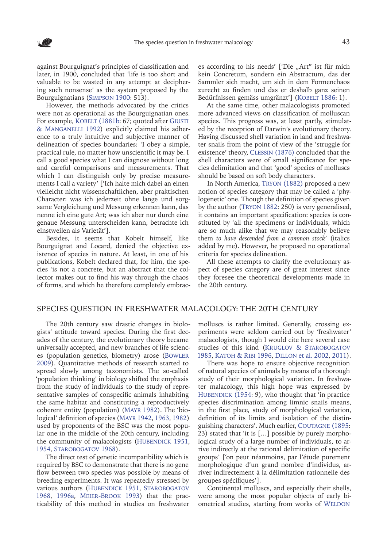against Bourguignat's principles of classification and later, in 1900, concluded that 'life is too short and valuable to be wasted in any attempt at deciphering such nonsense' as the system proposed by the Bourguignatians ([Simpson](#page-12-17) 1900: 513).

However, the methods advocated by the critics were not as operational as the Bourguignatian ones. For example, KOBELT (1881b: 67; quoted after GIUSTI [& Manganelli](#page-10-4) 1992) explicitly claimed his adherence to a truly intuitive and subjective manner of delineation of species boundaries: 'I obey a simple, practical rule, no matter how unscientific it may be. I call a good species what I can diagnose without long and careful comparisons and measurements. That which I can distinguish only by precise measurements I call a variety' ['Ich halte mich dabei an einen vielleicht nicht wissenschaftlichen, aber praktischen Character: was ich jederzeit ohne lange und sorgsame Vergleichung und Messung erkennen kann, das nenne ich eine gute Art; was ich aber nur durch eine genaue Messung unterscheiden kann, betrachte ich einstweilen als Varietät'].

Besides, it seems that Kobelt himself, like Bourguignat and Locard, denied the objective existence of species in nature. At least, in one of his publications, Kobelt declared that, for him, the species 'is not a concrete, but an abstract that the collector makes out to find his way through the chaos of forms, and which he therefore completely embrac-

es according to his needs' ['Die "Art" ist für mich kein Concretum, sondern ein Abstractum, das der Sammler sich macht, um sich in dem Formenchaos zurecht zu finden und das er deshalb ganz seinen Bedürfnissen gemäss umgränzt'] (KOBELT 1886: 1).

At the same time, other malacologists promoted more advanced views on classification of molluscan species. This progress was, at least partly, stimulated by the reception of Darwin's evolutionary theory. Having discussed shell variation in land and freshwater snails from the point of view of the 'struggle for existence' theory, Clessin (1876) concluded that the shell characters were of small significance for species delimitation and that 'good' species of molluscs should be based on soft body characters.

In North America, Tryon [\(1882\)](#page-12-18) proposed a new notion of species category that may be called a 'phylogenetic' one. Though the definition of species given by the author ([Tryon](#page-12-18) 1882: 250) is very generalised, it contains an important specification: species is constituted by 'all the specimens or individuals, which are so much alike that we may reasonably believe them *to have descended from a common stock*' (italics added by me). However, he proposed no operational criteria for species delineation.

All these attempts to clarify the evolutionary aspect of species category are of great interest since they foresee the theoretical developments made in the 20th century.

#### SPECIES QUESTION IN FRESHWATER MALACOLOGY: THE 20TH CENTURY

The 20th century saw drastic changes in biologists' attitude toward species. During the first decades of the century, the evolutionary theory became universally accepted, and new branches of life sciences (population genetics, biometry) arose (B[owler](#page-9-9) [2009\)](#page-9-9). Quantitative methods of research started to spread slowly among taxonomists. The so-called 'population thinking' in biology shifted the emphasis from the study of individuals to the study of representative samples of conspecific animals inhabiting the same habitat and constituting a reproductively coherent entity (population) ([Mayr](#page-11-12) 1982). The 'biological' definition of species ([Mayr](#page-11-7) 1942, [1963](#page-11-0), [1982](#page-11-12)) used by proponents of the BSC was the most popular one in the middle of the 20th century, including the community of malacologists (HUBENDICK 1951, [1954,](#page-10-3) [Starobogatov 1968](#page-12-3)).

The direct test of genetic incompatibility which is required by BSC to demonstrate that there is no gene flow between two species was possible by means of breeding experiments. It was repeatedly stressed by various authors (HUBENDICK 1951, STAROBOGATOV [1968,](#page-12-3) [1996](#page-12-5)a, [Meier-Brook](#page-11-3) 1993) that the practicability of this method in studies on freshwater

molluscs is rather limited. Generally, crossing experiments were seldom carried out by 'freshwater' malacologists, though I would cite here several case studies of this kind (KRUGLOV & STAROBOGATOV [1985,](#page-10-12) [Katoh & Ribi](#page-10-13) 1996, Dillon [et al. 2002,](#page-9-10) [2011](#page-9-11)).

There was hope to ensure objective recognition of natural species of animals by means of a thorough study of their morphological variation. In freshwater malacology, this high hope was expressed by HUBENDICK (1954: 9), who thought that 'in practice species discrimination among limnic snails means, in the first place, study of morphological variation, definition of its limits and isolation of the distinguishing characters'. Much earlier, COUTAGNE (1895: 23) stated that 'it is […] possible by purely morphological study of a large number of individuals, to arrive indirectly at the rational delimitation of specific groups' ['on peut néanmoins, par l'étude purement morphologique d'un grand nombre d'individus, arriver indirectement à la délimitation rationnelle des groupes spécifiques'].

Continental molluscs, and especially their shells, were among the most popular objects of early biometrical studies, starting from works of WELDON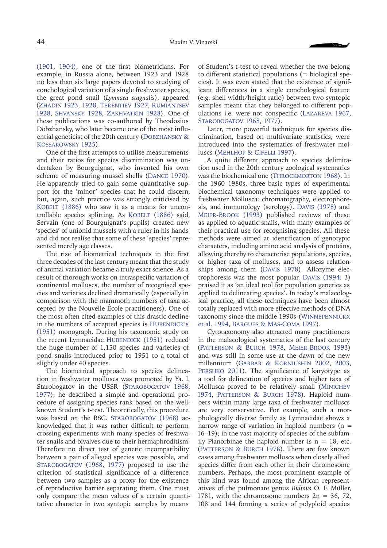[\(1901](#page-12-19), [1904\)](#page-12-20), one of the first biometricians. For example, in Russia alone, between 1923 and 1928 no less than six large papers devoted to studying of conchological variation of a single freshwater species, the great pond snail (*Lymnaea stagnalis*), appeared (Zhadin 1923, 1928, Terentiev 1927, [Rumiantsev](#page-11-13) [1928,](#page-11-13) [Shvansky 1928](#page-12-21), [Zakhvatkin 1928](#page-13-1)). One of these publications was co-authored by Theodosius Dobzhansky, who later became one of the most influential geneticist of the 20th century (DOBZHANSKY & [Kossakowsky 1925\)](#page-9-12).

One of the first attempts to utilise measurements and their ratios for species discrimination was undertaken by Bourguignat, who invented his own scheme of measuring mussel shells (Dance 1970). He apparently tried to gain some quantitative support for the 'minor' species that he could discern, but, again, such practice was strongly criticised by KOBELT (1886) who saw it as a means for uncontrollable species splitting. As KOBELT (1886) said, Servain (one of Bourguignat's pupils) created new 'species' of unionid mussels with a ruler in his hands and did not realise that some of these 'species' represented merely age classes.

The rise of biometrical techniques in the first three decades of the last century meant that the study of animal variation became a truly exact science. As a result of thorough works on intraspecific variation of continental molluscs, the number of recognised species and varieties declined dramatically (especially in comparison with the mammoth numbers of taxa accepted by the Nouvelle École practitioners). One of the most often cited examples of this drastic decline in the numbers of accepted species is HUBENDICK's [\(1951\)](#page-10-11) monograph. During his taxonomic study on the recent Lymnaeidae HUBENDICK (1951) reduced the huge number of 1,150 species and varieties of pond snails introduced prior to 1951 to a total of slightly under 40 species.

The biometrical approach to species delineation in freshwater molluscs was promoted by Ya. I. [Starobogatov](#page-12-3) in the USSR (STAROBOGATOV 1968, [1977\)](#page-12-4); he described a simple and operational procedure of assigning species rank based on the wellknown Student's t-test. Theoretically, this procedure was based on the BSC. STAROBOGATOV (1968) acknowledged that it was rather difficult to perform crossing experiments with many species of freshwater snails and bivalves due to their hermaphroditism. Therefore no direct test of genetic incompatibility between a pair of alleged species was possible, and STAROBOGATOV (1968, [1977\)](#page-12-4) proposed to use the criterion of statistical significance of a difference between two samples as a proxy for the existence of reproductive barrier separating them. One must only compare the mean values of a certain quantitative character in two syntopic samples by means

of Student's t-test to reveal whether the two belong to different statistical populations (= biological species). It was even stated that the existence of significant differences in a single conchological feature (e.g. shell width/height ratio) between two syntopic samples meant that they belonged to different populations i.e. were not conspecific ([Lazareva 1967,](#page-11-14) STAROBOGATOV 1968, [1977\)](#page-12-4).

Later, more powerful techniques for species discrimination, based on multivariate statistics, were introduced into the systematics of freshwater molluscs ([Mehlhop & Cifelli](#page-11-15) 1997).

A quite different approach to species delimitation used in the 20th century zoological systematics was the biochemical one (THROCKMORTON 1968). In the 1960–1980s, three basic types of experimental biochemical taxonomy techniques were applied to freshwater Mollusca: chromatography, electrophoresis, and immunology (serology). Davis [\(1978\)](#page-9-13) and [Meier-Brook](#page-11-3) (1993) published reviews of these as applied to aquatic snails, with many examples of their practical use for recognising species. All these methods were aimed at identification of genotypic characters, including amino acid analysis of proteins, allowing thereby to characterise populations, species, or higher taxa of molluscs, and to assess relationships among them (Davis [1978](#page-9-13)). Allozyme electrophoresis was the most popular. Davis [\(1994:](#page-9-14) 3) praised it as 'an ideal tool for population genetics as applied to delineating species'. In today's malacological practice, all these techniques have been almost totally replaced with more effective methods of DNA taxonomy since the middle 1990s ([Winnepennickx](#page-13-2) et al[. 1994,](#page-13-2) [Bargues & Mas-Coma](#page-8-3) 1997).

Cytotaxonomy also attracted many practitioners in the malacological systematics of the last century ([Patterson & Burch 1978,](#page-11-16) [Meier-Brook 1993](#page-11-3)) and was still in some use at the dawn of the new millennium ([Garbar & Korniushin](#page-9-15) 2002, [2003,](#page-9-16) PERSHKO 2011). The significance of karyotype as a tool for delineation of species and higher taxa of Mollusca proved to be relatively small (M[inichev](#page-11-18) [1974,](#page-11-18) PATTERSON & BURCH 1978). Haploid numbers within many large taxa of freshwater molluscs are very conservative. For example, such a morphologically diverse family as Lymnaeidae shows a narrow range of variation in haploid numbers  $(n =$ 16–19); in the vast majority of species of the subfamily Planorbinae the haploid number is  $n = 18$ , etc. (PATTERSON  $& BURCH$  1978). There are few known cases among freshwater molluscs when closely allied species differ from each other in their chromosome numbers. Perhaps, the most prominent example of this kind was found among the African representatives of the pulmonate genus *Bulinus* O. F. Müller, 1781, with the chromosome numbers  $2n = 36, 72,$ 108 and 144 forming a series of polyploid species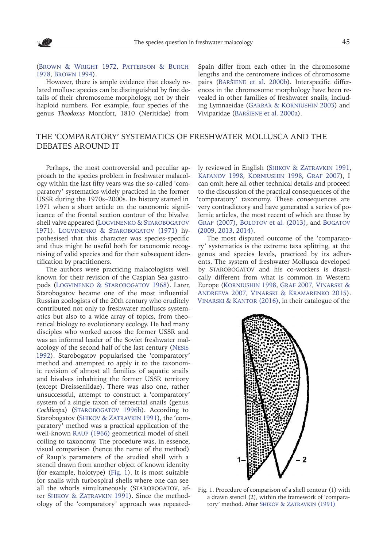([Brown & Wright](#page-9-17) 1972, [Patterson & Burch](#page-11-16) [1978,](#page-11-16) [Brown](#page-9-18) 1994).

However, there is ample evidence that closely related mollusc species can be distinguished by fine details of their chromosome morphology, not by their haploid numbers. For example, four species of the genus *Theodoxus* Montfort, 1810 (Neritidae) from

Spain differ from each other in the chromosome lengths and the centromere indices of chromosome pairs (Baršiene et al. 2000b). Interspecific differences in the chromosome morphology have been revealed in other families of freshwater snails, including Lymnaeidae ([Garbar & Korniushin](#page-9-16) 2003) and Viviparidae (Baršiene et al. 2000a).

# THE 'COMPARATORY' SYSTEMATICS OF FRESHWATER MOLLUSCA AND THE DEBATES AROUND IT

Perhaps, the most controversial and peculiar approach to the species problem in freshwater malacology within the last fifty years was the so-called 'comparatory' systematics widely practiced in the former USSR during the 1970s–2000s. Its history started in 1971 when a short article on the taxonomic significance of the frontal section contour of the bivalve shell valve appeared (LOGVINENKO & STAROBOGATOV [1971\)](#page-11-19). [Logvinenko & Starobogatov](#page-11-19) (1971) hypothesised that this character was species-specific and thus might be useful both for taxonomic recognising of valid species and for their subsequent identification by practitioners.

The authors were practicing malacologists well known for their revision of the Caspian Sea gastropods ([Logvinenko & Starobogatov](#page-11-20) 1968). Later, Starobogatov became one of the most influential Russian zoologists of the 20th century who eruditely contributed not only to freshwater molluscs systematics but also to a wide array of topics, from theoretical biology to evolutionary ecology. He had many disciples who worked across the former USSR and was an informal leader of the Soviet freshwater malacology of the second half of the last century (N[esis](#page-11-21) [1992\)](#page-11-21). Starobogatov popularised the 'comparatory' method and attempted to apply it to the taxonomic revision of almost all families of aquatic snails and bivalves inhabiting the former USSR territory (except Dreisseniidae). There was also one, rather unsuccessful, attempt to construct a 'comparatory' system of a single taxon of terrestrial snails (genus *Cochlicopa*) ([Starobogatov](#page-12-23) 1996b). According to Starobogatov (SHIKOV & ZATRAVKIN 1991), the 'comparatory' method was a practical application of the well-known Raup [\(1966\)](#page-11-23) geometrical model of shell coiling to taxonomy. The procedure was, in essence, visual comparison (hence the name of the method) of Raup's parameters of the studied shell with a stencil drawn from another object of known identity (for example, holotype) (Fig. 1). It is most suitable for snails with turbospiral shells where one can see all the whorls simultaneously (STAROBOGATOV, after SHIKOV & ZATRAVKIN 1991). Since the methodology of the 'comparatory' approach was repeatedly reviewed in English ([Shikov & Zatravkin](#page-11-22) 1991, [Kafanov](#page-10-14) 1998, Korniushin 1998, [Graf](#page-10-5) 2007), I can omit here all other technical details and proceed to the discussion of the practical consequences of the 'comparatory' taxonomy. These consequences are very contradictory and have generated a series of polemic articles, the most recent of which are those by GRAF [\(2007\)](#page-10-5), BOLOTOV et al. (2013), and BOGATOV [\(2009](#page-9-19), 2013, [2014\).](#page-9-20)

The most disputed outcome of the 'comparatory' systematics is the extreme taxa splitting, at the genus and species levels, practiced by its adherents. The system of freshwater Mollusca developed by Starobogatov and his co-workers is drastically different from what is common in Western Europe (Korniushin 1998, [Graf 2007](#page-10-5), [Vinarski &](#page-12-6)  [Andreeva](#page-12-6) 2007, [Vinarski & Kramarenko](#page-12-24) 2015). [Vinarski & Kantor](#page-12-25) (2016), in their catalogue of the



Fig. 1. Procedure of comparison of a shell contour (1) with a drawn stencil (2), within the framework of 'comparatory' method. After SHIKOV & ZATRAVKIN (1991)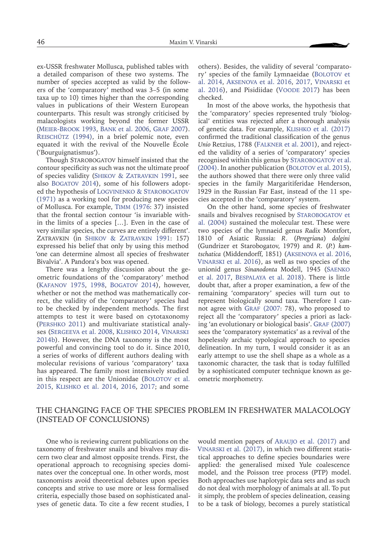ex-USSR freshwater Mollusca, published tables with a detailed comparison of these two systems. The number of species accepted as valid by the followers of the 'comparatory' method was 3–5 (in some taxa up to 10) times higher than the corresponding values in publications of their Western European counterparts. This result was strongly criticised by malacologists working beyond the former USSR ([Meier-Brook 1993](#page-11-3), Bank et al[. 2006,](#page-8-4) [Graf](#page-10-5) 2007). REISCHÜTZ (1994), in a brief polemic note, even equated it with the revival of the Nouvelle École ('Bourguignatismus').

Though STAROBOGATOV himself insisted that the contour specificity as such was not the ultimate proof of species validity ([Shikov & Zatravkin](#page-11-22) 1991, see also [Bogatov](#page-9-20) 2014), some of his followers adopted the hypothesis of [Logvinenko & Starobogatov](#page-11-19) [\(1971\)](#page-11-19) as a working tool for producing new species of Mollusca. For example, Timm [\(1976:](#page-12-26) 37) insisted that the frontal section contour 'is invariable within the limits of a species […]. Even in the case of very similar species, the curves are entirely different'. Zatravkin (in [Shikov & Zatravkin](#page-11-22) 1991: 157) expressed his belief that only by using this method 'one can determine almost all species of freshwater Bivalvia'. A Pandora's box was opened.

There was a lengthy discussion about the geometric foundations of the 'comparatory' method ([Kafanov 1975,](#page-10-15) [1998](#page-10-14), [Bogatov](#page-9-20) 2014), however, whether or not the method was mathematically correct, the validity of the 'comparatory' species had to be checked by independent methods. The first attempts to test it were based on cytotaxonomy ([Pershko](#page-11-17) 2011) and multivariate statistical analyses (Sergeeva [et al. 2008](#page-11-24), [Klishko](#page-10-16) 2014, V[inarski](#page-12-27) [2014b](#page-12-27)). However, the DNA taxonomy is the most powerful and convincing tool to do it. Since 2010, a series of works of different authors dealing with molecular revisions of various 'comparatory' taxa has appeared. The family most intensively studied in this respect are the Unionidae (BOLOTOV et al. [2015](#page-9-21), Klishko [et al. 2014](#page-10-17), [2016,](#page-10-18) [2017;](#page-10-19) and some

others). Besides, the validity of several 'comparatory' species of the family Lymnaeidae (BOLOTOV et al[. 2014](#page-9-22), Aksenova [et al. 2016,](#page-8-5) [2017,](#page-8-6) [Vinarski](#page-12-28) et [al. 2016](#page-12-28)), and Pisidiidae (Voode 2017) has been checked.

In most of the above works, the hypothesis that the 'comparatory' species represented truly 'biological' entities was rejected after a thorough analysis of genetic data. For example, Klishko [et al. \(2017\)](#page-10-19) confirmed the traditional classification of the genus *Unio* Retzius, 1788 (Falkner [et al. 2001](#page-9-8)), and rejected the validity of a series of 'comparatory' species recognised within this genus by STAROBOGATOV et al. [\(2004\)](#page-12-29). In another publication (BOLOTOV [et al. 2015\)](#page-9-21), the authors showed that there were only three valid species in the family Margaritiferidae Henderson, 1929 in the Russian Far East, instead of the 11 species accepted in the 'comparatory' system.

On the other hand, some species of freshwater snails and bivalves recognised by STAROBOGATOV et [al. \(2004\)](#page-12-29) sustained the molecular test. These were two species of the lymnaeid genus *Radix* Montfort, 1810 of Asiatic Russia: *R.* (*Peregriana*) *dolgini*  (Gundrizer et Starobogatov, 1979) and *R.* (*P.*) *kamtschatica* (Middendorff, 1851) (Aksenova [et al. 2016,](#page-8-5) Vinarski [et al. 2016\)](#page-12-28), as well as two species of the unionid genus *Sinanodonta* Modell, 1945 (Saenko et al. 2017, Bespalaya [et al. 2018\)](#page-8-7). There is little doubt that, after a proper examination, a few of the remaining 'comparatory' species will turn out to represent biologically sound taxa. Therefore I can-not agree with GRAF [\(2007](#page-10-5): 78), who proposed to reject all the 'comparatory' species a priori as lack-ing 'an evolutionary or biological basis'. GRAF [\(2007](#page-10-5)) sees the 'comparatory systematics' as a revival of the hopelessly archaic typological approach to species delineation. In my turn, I would consider it as an early attempt to use the shell shape as a whole as a taxonomic character, the task that is today fulfilled by a sophisticated computer technique known as geometric morphometry.

# THE CHANGING FACE OF THE SPECIES PROBLEM IN FRESHWATER MALACOLOGY (INSTEAD OF CONCLUSIONS)

One who is reviewing current publications on the taxonomy of freshwater snails and bivalves may discern two clear and almost opposite trends. First, the operational approach to recognising species dominates over the conceptual one. In other words, most taxonomists avoid theoretical debates upon species concepts and strive to use more or less formalised criteria, especially those based on sophisticated analyses of genetic data. To cite a few recent studies, I

would mention papers of Araujo et al. (2017) and Vinarski [et al. \(2017\),](#page-12-30) in which two different statistical approaches to define species boundaries were applied: the generalised mixed Yule coalescence model, and the Poisson tree process (PTP) model. Both approaches use haplotypic data sets and as such do not deal with morphology of animals at all. To put it simply, the problem of species delineation, ceasing to be a task of biology, becomes a purely statistical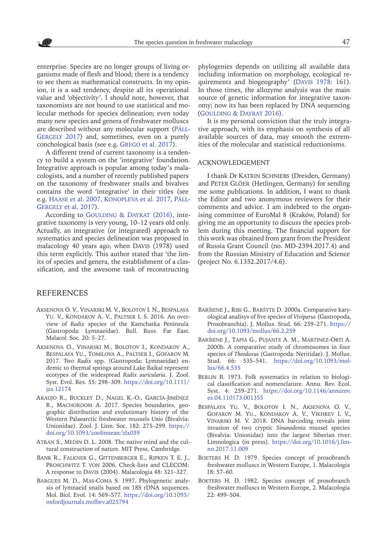enterprise. Species are no longer groups of living organisms made of flesh and blood; there is a tendency to see them as mathematical constructs. In my opinion, it is a sad tendency, despite all its operational value and 'objectivity'. I should note, however, that taxonomists are not bound to use statistical and molecular methods for species delineation; even today many new species and genera of freshwater molluscs are described without any molecular support (Páll-GERGELY 2017) and, sometimes, even on a purely conchological basis (see e.g. Grego et al. 2017).

A different trend of current taxonomy is a tendency to build a system on the 'integrative' foundation. Integrative approach is popular among today's malacologists, and a number of recently published papers on the taxonomy of freshwater snails and bivalves contains the word 'integrative' in their titles (see e.g. Haase [et al. 2007,](#page-10-20) Konopleva [et al. 2017,](#page-10-21) Páll-GERGELY et al. 2017).

According to GOULDING & DAYRAT (2016), integrative taxonomy is very young, 10–12 years old only. Actually, an integrative (or integrated) approach to systematics and species delineation was proposed in malacology 40 years ago, when Davis (1978) used this term explicitly. This author stated that 'the limits of species and genera, the establishment of a classification, and the awesome task of reconstructing

## REFERENCES

- <span id="page-8-5"></span>Aksenova O. V., Vinarski M. V., Bolotov I. N., Bespalaya Yu. V., Kondakov A. V., Paltser I. S. 2016. An overview of *Radix* species of the Kamchatka Peninsula (Gastropoda: Lymnaeidae). Bull. Russ. Far East. Malacol. Soc. 20: 5–27.
- <span id="page-8-6"></span>Aksenova O., Vinarski M., Bolotov I., Kondakov A., Bespalaya Yu., Tomilova A., Paltser I., Gofarov M. 2017. Two *Radix* spp. (Gastropoda: Lymnaeidae) endemic to thermal springs around Lake Baikal represent ecotypes of the widespread *Radix auricularia*. J. Zool. Syst. Evol. Res. 55: 298–309. [https://doi.org/10.1111/](https://doi.org/10.1111/jzs.12174%0D) [jzs.12174](https://doi.org/10.1111/jzs.12174%0D)
- Araujo R., Buckley D., Nagel K.-O., García-Jiménez R., MACHORDOM A. 2017. Species boundaries, geographic distribution and evolutionary history of the Western Palaearctic freshwater mussels *Unio* (Bivalvia: Unionidae). Zool. J. Linn. Soc. 182: 275–299. [https://](https://doi.org/10.1093/zoolinnean/zlx039%0D) [doi.org/10.1093/zoolinnean/zlx039](https://doi.org/10.1093/zoolinnean/zlx039%0D)
- <span id="page-8-2"></span>ATRAN S., MEDIN D. L. 2008. The native mind and the cultural construction of nature. MIT Press, Cambridge.
- <span id="page-8-4"></span>Bank R., Falkner G., Gittenberger E., Ripken T. E. J., Proschwitz T. von 2006. Check-lists and CLECOM: A response to Davis (2004). Malacologia 48: 321–327.
- <span id="page-8-3"></span>Bargues M. D., Mas-Coma S. 1997. Phylogenetic analysis of lymnaeid snails based on 18S rDNA sequences. Mol. Biol. Evol. 14: 569–577. [https://doi.org/10.1093/](https://doi.org/10.1093/oxfordjournals.molbev.a025794%0D) [oxfordjournals.molbev.a025794](https://doi.org/10.1093/oxfordjournals.molbev.a025794%0D)

phylogenies depends on utilizing all available data including information on morphology, ecological requirements and biogeography' (Davis [1978:](#page-9-13) 161). In those times, the allozyme analysis was the main source of genetic information for integrative taxonomy; now its has been replaced by DNA sequencing ([Goulding & Dayrat 2016](#page-9-23)).

It is my personal conviction that the truly integrative approach, with its emphasis on synthesis of all available sources of data, may smooth the extremities of the molecular and statistical reductionisms.

#### ACKNOWLEDGEMENT

I thank Dr KATRIN SCHNIEBS (Dresden, Germany) and PETER GLÖER (Hetlingen, Germany) for sending me some publications. In addition, I want to thank the Editor and two anonymous reviewers for their comments and advice. I am indebted to the organising committee of EuroMal 8 (Kraków, Poland) for giving me an opportunity to discuss the species problem during this meeting. The financial support for this work was obtained from grant from the President of Russia Grant Council (no. MD-2394.2017.4) and from the Russian Ministry of Education and Science (project No. 6.1352.2017/4.6).

- Baršiene J., Ribi G., Baršyte D. 2000a. Comparative karyological analisys of five species of *Viviparus* (Gastropoda, Prosobranchia). J. Mollus. Stud. 66: 259–271. [https://](https://doi.org/10.1093/mollus/66.2.259%0D) [doi.org/10.1093/mollus/66.2.259](https://doi.org/10.1093/mollus/66.2.259%0D)
- Baršiene J., Tapia G., Pujante A. M., Martinez-Orti A. 2000b. A comparative study of chromosomes in four species of *Theodoxus* (Gastropoda: Neritidae). J. Mollus. Stud. 66: 535–541. [https://doi.org/10.1093/mol](https://doi.org/10.1093/mollus/66.4.535%0D)[lus/66.4.535](https://doi.org/10.1093/mollus/66.4.535%0D)
- <span id="page-8-1"></span>BERLIN B. 1973. Folk systematics in relation to biological classification and nomenclature. Annu. Rev. Ecol. Syst. 4: 259–271. [https://doi.org/10.1146/annurev.](https://doi.org/10.1146/annurev.es.04.110173.001355%0D) [es.04.110173.001355](https://doi.org/10.1146/annurev.es.04.110173.001355%0D)
- <span id="page-8-7"></span>Bespalaya Yu. V., Bolotov I. N., Aksenova O. V., Gofarov M. Yu., Kondakov A. V., Vikhrev I. V., Vinarski M. V. 2018. DNA barcoding reveals joint invasion of two cryptic *Sinanodonta* mussel species (Bivalvia: Unionidae) into the largest Siberian river. Limnologica (in press). [https://doi.org/10.1016/j.lim](https://doi.org/10.1016/j.limno.2017.11.009%0D)[no.2017.11.009](https://doi.org/10.1016/j.limno.2017.11.009%0D)
- <span id="page-8-0"></span>BOETERS H. D. 1979. Species concept of prosobranch freshwater molluscs in Western Europe, 1. Malacologia 18: 57–60.
- BOETERS H. D. 1982. Species concept of prosobranch freshwater molluscs in Western Europe, 2. Malacologia 22: 499–504.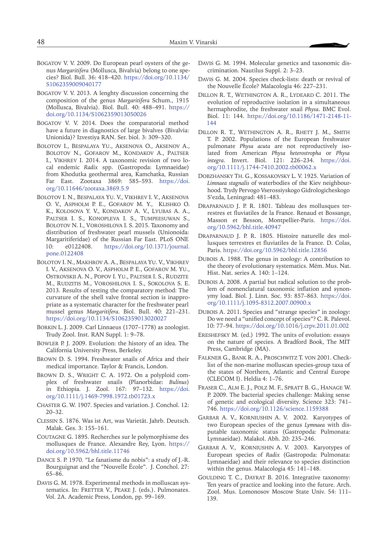- <span id="page-9-19"></span>Bogatov V. V. 2009. Do European pearl oysters of the genus *Margaritifera* (Mollusca, Bivalvia) belong to one species? Biol. Bull. 36: 418–420. [https://doi.org/10.1134/](https://doi.org/10.1134/S1062359009040177%0D) [S1062359009040177](https://doi.org/10.1134/S1062359009040177%0D)
- Bogatov V. V. 2013. A lenghty discussion concerning the composition of the genus *Margaritifera* Schum., 1915 (Mollusca, Bivalvia). Biol. Bull. 40: 488–491. [https://](https://doi.org/10.1134/S1062359013050026%0D) [doi.org/10.1134/S1062359013050026](https://doi.org/10.1134/S1062359013050026%0D)
- <span id="page-9-20"></span>Bogatov V. V. 2014. Does the comparatorial method have a future in diagnostics of large bivalves (Bivalvia: Unionida)? Izvestiya RAN. Ser. biol. 3: 309–320.
- <span id="page-9-22"></span>Bolotov I., Bespalaya Yu., Aksenova O., Aksenov A., Bolotov N., Gofarov M., Kondakov A., Paltser I., Vikhrev I. 2014. A taxonomic revision of two local endemic *Radix* spp. (Gastropoda: Lymnaeidae) from Khodutka geothermal area, Kamchatka, Russian Far East. Zootaxa 3869: 585–593. [https://doi.](https://doi.org/10.11646/zootaxa.3869.5.9%0D) [org/10.11646/zootaxa.3869.5.9](https://doi.org/10.11646/zootaxa.3869.5.9%0D)
- <span id="page-9-21"></span>Bolotov I. N., Bespalaya Yu. V., Vikhrev I. V., Aksenova O. V., Aspholm P. E., Gofarov M. Y., Klishko O. K., Kolosova Y. V., Kondakov A. V., Lyubas A. A., PALTSER I. S., KONOPLEVA I. S., TUMPEESUWAN S., Bolotov N. I., Voroshilova I. S. 2015. Taxonomy and distribution of freshwater pearl mussels (Unionoida: Margaritiferidae) of the Russian Far East. PLoS ONE 10: e0122408. [https://doi.org/10.1371/journal.](https://doi.org/10.1371/journal.pone.0122408%0D) [pone.0122408](https://doi.org/10.1371/journal.pone.0122408%0D)
- Bolotov I. N., Makhrov A. A., Bespalaya Yu. V., Vikhrev I. V., Aksenova O. V., Aspholm P. E., Gofarov M. Yu., Ostrovskii A. N., Popov I. Yu., Paltser I. S., Rudzite M., Rudzitis M., Voroshilova I. S., Sokolova S. E. 2013. Results of testing the comparatory method: The curvature of the shell valve frontal section is inappropriate as a systematic character for the freshwater pearl mussel genus *Margaritifera*. Biol. Bull. 40: 221–231. [https://doi.org/10.1134/S1062359013020027](https://doi.org/10.1134/S1062359013020027%0D)
- <span id="page-9-3"></span>Borkin L. J. 2009. Carl Linnaeus (1707–1778) as zoologist. Trudy Zool. Inst. RAN Suppl. 1: 9–78.
- <span id="page-9-9"></span>Bowler P. J. 2009. Evolution: the history of an idea. The California University Press, Berkeley.
- <span id="page-9-18"></span>Brown D. S. 1994. Freshwater snails of Africa and their medical importance. Taylor & Francis, London.
- <span id="page-9-17"></span>BROWN D. S., WRIGHT C. A. 1972. On a polyploid complex of freshwater snails (Planorbidae: *Bulinus*) in Ethiopia. J. Zool. 167: 97–132. [https://doi.](https://doi.org/10.1111/j.1469-7998.1972.tb01723.x%0D) [org/10.1111/j.1469-7998.1972.tb01723.x](https://doi.org/10.1111/j.1469-7998.1972.tb01723.x%0D)
- <span id="page-9-7"></span>Chaster G. W. 1907. Species and variation. J. Conchol. 12: 20–32.
- Clessin S. 1876. Was ist Art, was Varietät. Jahrb. Deutsch. Malak. Ges. 3: 155–161.
- <span id="page-9-6"></span>Coutagne G. 1895. Recherches sur le polymorphisme des mollusques de France. Alexandre Rey, Lyon. [https://](https://doi.org/10.5962/bhl.title.11746%0D) [doi.org/10.5962/bhl.title.11746](https://doi.org/10.5962/bhl.title.11746%0D)
- Dance S. P. 1970. "Le fanatisme du nobis": a study of J.-R. Bourguignat and the "Nouvelle École". J. Conchol. 27: 65–86.
- <span id="page-9-13"></span>Davis G. M. 1978. Experimental methods in molluscan systematics. In: FRETTER V., PEAKE J. (eds.). Pulmonates. Vol. 2A. Academic Press, London, pp. 99–169.
- <span id="page-9-14"></span>Davis G. M. 1994. Molecular genetics and taxonomic discrimination. Nautilus Suppl. 2: 3–23.
- Davis G. M. 2004. Species check-lists: death or revival of the Nouvelle École? Malacologia 46: 227–231.
- <span id="page-9-11"></span>Dillon R. T., Wethington A. R., Lydeard C. 2011. The evolution of reproductive isolation in a simultaneous hermaphrodite, the freshwater snail *Physa*. BMC Evol. Biol. 11: 144. [https://doi.org/10.1186/1471-2148-11-](https://doi.org/10.1186/1471-2148-11-144%0D) [144](https://doi.org/10.1186/1471-2148-11-144%0D)
- <span id="page-9-10"></span>Dillon R. T., Wethington A. R., Rhett J. M., Smith T. P. 2002. Populations of the European freshwater pulmonate *Physa acuta* are not reproductively isolated from American *Physa heterostropha* or *Physa integra*. Invert. Biol. 121: 226–234. [https://doi.](https://doi.org/10.1111/j.1744-7410.2002.tb00062.x%0D) [org/10.1111/j.1744-7410.2002.tb00062.x](https://doi.org/10.1111/j.1744-7410.2002.tb00062.x%0D)
- <span id="page-9-12"></span>Dobzhansky Th. G., Kossakovsky L. V. 1925. Variation of *Limnaea stagnalis* of waterbodies of the Kiev neighbourhood. Trydy Pervogo Vserossiyskogo Gidrologicheskogo S'ezda, Leningrad: 481–483.
- <span id="page-9-4"></span>Draparnaud J. P. R. 1801. Tableau des mollusques terrestres et fluviatiles de la France. Renaud et Bossange, Masson et Besson, Montpellier-Paris. [https://doi.](https://doi.org/10.5962/bhl.title.40947%0D) [org/10.5962/bhl.title.40947](https://doi.org/10.5962/bhl.title.40947%0D)
- <span id="page-9-5"></span>Draparnaud J. P. R. 1805. Histoire naturelle des mollusques terrestres et fluviatiles de la France. D. Colas, Paris.<https://doi.org/10.5962/bhl.title.12856>
- Dubois A. 1988. The genus in zoology: A contribution to the theory of evolutionary systematics. Mém. Mus. Nat. Hist. Nat. series A*.* 140: 1–124.
- <span id="page-9-2"></span>Dubois A. 2008. A partial but radical solution to the problem of nomenclatural taxonomic inflation and synonymy load. Biol. J. Linn. Soc. 93: 857–863. [https://doi.](https://doi.org/10.1111/j.1095-8312.2007.00900.x%0D) [org/10.1111/j.1095-8312.2007.00900.x](https://doi.org/10.1111/j.1095-8312.2007.00900.x%0D)
- Dubois A. 2011. Species and "strange species" in zoology: Do we need a "unified concept of species"? C. R. Palevol. 10: 77–94. <https://doi.org/10.1016/j.crpv.2011.01.002>
- <span id="page-9-0"></span>Ereshefsky M. (ed.) 1992. The units of evolution: essays on the nature of species. A Bradford Book, The MIT Press, Cambridge (MA).
- <span id="page-9-8"></span>Falkner G., Bank R. A., Proschwitz T. von 2001. Checklist of the non-marine molluscan species-group taxa of the states of Northern, Atlantic and Central Europe (CLECOM I). Heldia 4: 1–76.
- <span id="page-9-1"></span>Fraser C., Alm E. J., Polz M. F., Spratt B. G., Hanage W. P. 2009. The bacterial species challenge: Making sense of genetic and ecological diversity. Science 323: 741– 746. <https://doi.org/10.1126/science.1159388>
- <span id="page-9-15"></span>Garbar A. V., Korniushin A. V. 2002. Karyotypes of two European species of the genus *Lymnaea* with disputable taxonomic status (Gastropoda: Pulmonata: Lymnaeidae). Malakol. Abh. 20: 235–246.
- <span id="page-9-16"></span>Garbar A. V., Korniushin A. V. 2003. Karyotypes of European species of *Radix* (Gastropoda: Pulmonata: Lymnaeidae) and their relevance to species distinction within the genus. Malacologia 45: 141–148.
- <span id="page-9-23"></span>GOULDING T. C., DAYRAT B. 2016. Integrative taxonomy: Ten years of practice and looking into the future. Arch. Zool. Mus. Lomonosov Moscow State Univ. 54: 111– 139.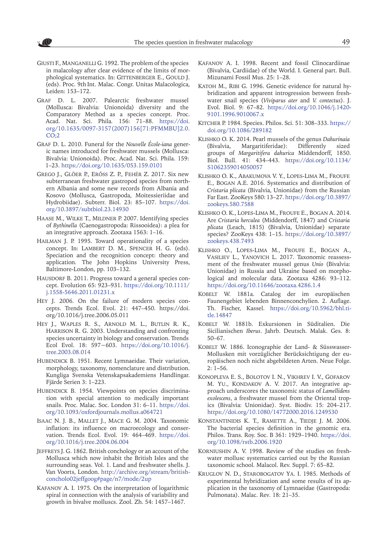<span id="page-10-4"></span>Giusti F., Manganelli G. 1992. The problem of the species in malacology after clear evidence of the limits of morphological systematics. In: GITTENBERGER E., GOULD J. (eds). Proc. 9th Int. Malac. Congr. Unitas Malacologica, Leiden: 153–172.

 $\mathcal{N}(\mathbb{C})$ 

- <span id="page-10-5"></span>GRAF D. L. 2007. Palearctic freshwater mussel (Mollusca: Bivalvia: Unionoida) diversity and the Comparatory Method as a species concept. Proc. Acad. Nat. Sci. Phila*.* 156: 71–88. [https://doi.](https://doi.org/10.1635/0097-3157%282007%29156%5B71:PFMMBU%5D2.0.CO%3B2) [org/10.1635/0097-3157\(2007\)156\[71:PFMMBU\]2.0.](https://doi.org/10.1635/0097-3157%282007%29156%5B71:PFMMBU%5D2.0.CO%3B2)  $CO<sub>2</sub>$
- Graf D. L. 2010. Funeral for the *Nouvelle École-iana* generic names introduced for freshwater mussels (Mollusca: Bivalvia: Unionoida). Proc. Acad. Nat. Sci. Phila. 159: 1–23. <https://doi.org/10.1635/053.159.0101>
- Grego J., Glöer P., Erőss Z. P., Fehér Z. 2017. Six new subterranean freshwater gastropod species from northern Albania and some new records from Albania and Kosovo (Mollusca, Gastropoda, Moitessieriidae and Hydrobiidae). Subterr. Biol. 23: 85–107. [https://doi.](https://doi.org/10.3897/subtbiol.23.14930) [org/10.3897/subtbiol.23.14930](https://doi.org/10.3897/subtbiol.23.14930)
- <span id="page-10-20"></span>HAASE M., WILKE T., MILDNER P. 2007. Identifying species of *Bythinella* (Caenogastropoda: Rissooidea): a plea for an integrative approach. Zootaxa 1563: 1–16.
- <span id="page-10-9"></span>HAILMAN J. P. 1995. Toward operationality of a species concept. In: Lambert D. M., Spencer H. G. (eds). Speciation and the recognition concept: theory and application*.* The John Hopkins University Press, Baltimore-London, pp. 103–132.
- <span id="page-10-1"></span>HAUSDORF B. 2011. Progress toward a general species concept. Evolution 65: 923–931. [https://doi.org/10.1111/](https://doi.org/10.1111/j.1558-5646.2011.01231.x) [j.1558-5646.2011.01231.x](https://doi.org/10.1111/j.1558-5646.2011.01231.x)
- <span id="page-10-0"></span>Hey J. 2006. On the failure of modern species concepts. Trends Ecol. Evol. 21: 447–450. https://doi. org/10.1016/j.tree.2006.05.011
- <span id="page-10-7"></span>Hey J., Waples R. S., Arnold M. L., Butlin R. K., HARRISON R. G. 2003. Understanding and confronting species uncertainty in biology and conservation. Trends Ecol Evol. 18: 597−603. [https://doi.org/10.1016/j.](https://doi.org/10.1016/j.tree.2003.08.014) [tree.2003.08.014](https://doi.org/10.1016/j.tree.2003.08.014)
- <span id="page-10-11"></span>HUBENDICK B. 1951. Recent Lymnaeidae. Their variation, morphology, taxonomy, nomenclature and distribution. Kungliga Svenska Vetenskapsakademiens Handlingar. Fjärde Serien 3: 1–223.
- <span id="page-10-3"></span>HUBENDICK B. 1954. Viewpoints on species discrimination with special attention to medically important snails. Proc. Malac. Soc. London 31: 6–11. [https://doi.](https://doi.org/10.1093/oxfordjournals.mollus.a064721) [org/10.1093/oxfordjournals.mollus.a064721](https://doi.org/10.1093/oxfordjournals.mollus.a064721)
- <span id="page-10-8"></span>Isaac N. J. B., Mallet J., Mace G. M. 2004. Taxonomic inflation: its influence on macroecology and conservation. Trends Ecol. Evol. 19: 464–469. [https://doi.](https://doi.org/10.1016/j.tree.2004.06.004) [org/10.1016/j.tree.2004.06.004](https://doi.org/10.1016/j.tree.2004.06.004)
- <span id="page-10-10"></span>JEFFREYS J. G. 1862. British conchology or an account of the Mollusca which now inhabit the British Isles and the surrounding seas. Vol. 1. Land and freshwater shells. J. Van Voorts, London. [http://archive.org/stream/british](http://archive.org/stream/britishconcholo02jeffgoog#page/n7/mode/2up)[concholo02jeffgoog#page/n7/mode/2up](http://archive.org/stream/britishconcholo02jeffgoog#page/n7/mode/2up)
- <span id="page-10-15"></span>Kafanov A. I. 1975. On the interpretation of logarithmic spiral in connection with the analysis of variability and growth in bivalve molluscs. Zool. Zh. 54: 1457–1467.
- <span id="page-10-14"></span>Kafanov A. I. 1998. Recent and fossil Clinocardiinae (Bivalvia, Cardiidae) of the World. I. General part. Bull. Mizunami Fossil Mus. 25: 1–28.
- <span id="page-10-13"></span>KATOH M., RIBI G. 1996. Genetic evidence for natural hybridization and apparent introgression between freshwater snail species (*Viviparus ater* and *V. contectus*). J. Evol. Biol. 9: 67–82. [https://doi.org/10.1046/j.1420-](https://doi.org/10.1046/j.1420-9101.1996.9010067.x) [9101.1996.9010067.x](https://doi.org/10.1046/j.1420-9101.1996.9010067.x)
- <span id="page-10-6"></span>Kitcher P. 1984. Species. Philos. Sci. 51: 308–333. [https://](https://doi.org/10.1086/289182) [doi.org/10.1086/289182](https://doi.org/10.1086/289182)
- <span id="page-10-16"></span>Klishko O. K. 2014. Pearl mussels of the genus *Dahurinaia* (Bivalvia, Margaritiferidae): Differently sized groups of *Margaritifera dahurica* Middendorff, 1850. Biol. Bull. 41: 434–443. [https://doi.org/10.1134/](https://doi.org/10.1134/S1062359014050057) [S1062359014050057](https://doi.org/10.1134/S1062359014050057)
- <span id="page-10-18"></span>Klishko O. K., Abakumova V. Y., Lopes-Lima M., Froufe E., Bogan A.E. 2016. Systematics and distribution of *Cristaria plicata* (Bivalvia, Unionidae) from the Russian Far East. ZooKeys 580: 13–27. [https://doi.org/10.3897/](https://doi.org/10.3897/zookeys.580.7588) [zookeys.580.7588](https://doi.org/10.3897/zookeys.580.7588)
- <span id="page-10-17"></span>Klishko O. K., Lopes-Lima M., Froufe E., Bogan A. 2014. Are *Cristaria herculea* (Middendorff, 1847) and *Cristaria plicata* (Leach, 1815) (Bivalvia, Unionidae) separate species? ZooKeys 438: 1–15. [https://doi.org/10.3897/](https://doi.org/10.3897/zookeys.438.7493) [zookeys.438.7493](https://doi.org/10.3897/zookeys.438.7493)
- <span id="page-10-19"></span>Klishko O., Lopes-Lima M., Froufe E., Bogan A., Vasiliev L., Yanovich L. 2017. Taxonomic reassessment of the freshwater mussel genus *Unio* (Bivalvia: Unionidae) in Russia and Ukraine based on morphological and molecular data. Zootaxa 4286: 93–112. [https://doi.org/10.11646/zootaxa.4286.1.4](https://doi.org/10.11646/zootaxa.4286.1.4%0D)
- Kobelt W. 1881a. Catalog der im europäischen Faunengebiet lebenden Binnenconchylien. 2. Auflage. Th. Fischer, Kassel. [https://doi.org/10.5962/bhl.ti](https://doi.org/10.5962/bhl.title.14847%0D)[tle.14847](https://doi.org/10.5962/bhl.title.14847%0D)
- Kobelt W. 1881b. Exkursionen in Süditalien. Die Sicilianischen *Iberus*. Jahrb. Deutsch. Malak. Ges. 8: 50–67.
- Kobelt W. 1886. Iconographie der Land- & Süsswasser-Mollusken mit vorzüglicher Berücksichtigung der europäischen noch nicht abgebildeten Arten. Neue Folge. 2: 1**–**56.
- <span id="page-10-21"></span>Konopleva E. S., Bolotov I. N., Vikhrev I. V., Gofarov M. YU., KONDAKOV A. V. 2017. An integrative approach underscores the taxonomic status of *Lamellidens exolescens*, a freshwater mussel from the Oriental tropics (Bivalvia: Unionidae). Syst. Biodiv. 15: 204–217. [https://doi.org/10.1080/14772000.2016.1249530](https://doi.org/10.1080/14772000.2016.1249530%0D)
- <span id="page-10-2"></span>Konstantinidis K. T., Ramette A., Tiedje J. M. 2006. The bacterial species definition in the genomic era. Philos. Trans. Roy. Soc. B 361: 1929–1940. [https://doi.](https://doi.org/10.1098/rstb.2006.1920%0D) [org/10.1098/rstb.2006.1920](https://doi.org/10.1098/rstb.2006.1920%0D)
- Korniushin A. V. 1998. Review of the studies on freshwater mollusc systematics carried out by the Russian taxonomic school. Malacol. Rev. Suppl. 7: 65–82.
- <span id="page-10-12"></span>Kruglov N. D., Starobogatov Ya. I. 1985. Methods of experimental hybridization and some results of its application in the taxonomy of Lymnaeidae (Gastropoda: Pulmonata). Malac. Rev*.* 18: 21–35.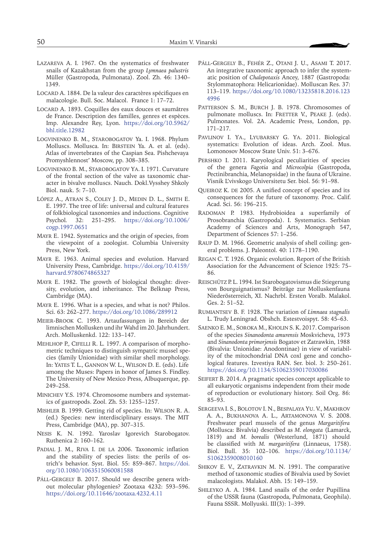- <span id="page-11-14"></span>Lazareva A. I. 1967. On the systematics of freshwater snails of Kazakhstan from the group *Lymnaea palustris*  Müller (Gastropoda, Pulmonata). Zool. Zh. 46: 1340– 1349.
- LOCARD A. 1884. De la valeur des caractères spécifiques en malacologie. Bull. Soc. Malacol. France 1: 17–72.
- LOCARD A. 1893. Coquilles des eaux douces et saumâtres de France. Description des familles, genres et espèces*.*  Imp. Alexandre Rey, Lyon. [https://doi.org/10.5962/](https://doi.org/10.5962/bhl.title.12982%0D) [bhl.title.12982](https://doi.org/10.5962/bhl.title.12982%0D)
- <span id="page-11-20"></span>Logvinenko B. M., Starobogatov Ya. I. 1968. Phylum Molluscs. Mollusca. In: Birstein Ya. A. et al. (eds). Atlas of invertebrates of the Caspian Sea. Pishchevaya Promyshlennost' Moscow, pp. 308–385.
- <span id="page-11-19"></span>Logvinenko B. M., Starobogatov Ya. I. 1971. Curvature of the frontal section of the valve as taxonomic character in bivalve molluscs. Nauch. Dokl.Vysshey Shkoly Biol. nauk. 5: 7–10.
- López A., Atran S., Coley J. D., Medin D. L., Smith E. E. 1997. The tree of life: universal and cultural features of folkbiological taxonomies and inductions. Cognitive Psychol*.* 32: 251–295. [https://doi.org/10.1006/](https://doi.org/10.1006/cogp.1997.0651%0D) [cogp.1997.0651](https://doi.org/10.1006/cogp.1997.0651%0D)
- <span id="page-11-7"></span>Mayr E. 1942. Systematics and the origin of species, from the viewpoint of a zoologist. Columbia University Press, New York.
- <span id="page-11-0"></span>Mayr E. 1963. Animal species and evolution. Harvard University Press, Cambridge. [https://doi.org/10.4159/](https://doi.org/10.4159/harvard.9780674865327%0D) [harvard.9780674865327](https://doi.org/10.4159/harvard.9780674865327%0D)
- <span id="page-11-12"></span>Mayr E. 1982. The growth of biological thought: diversity, evolution, and inheritance. The Belknap Press, Cambridge (MA).
- <span id="page-11-6"></span>Mayr E. 1996. What is a species, and what is not? Philos. Sci. 63: 262–277.<https://doi.org/10.1086/289912>
- <span id="page-11-3"></span>Meier-Brook C. 1993. Artaufassungen in Bereich der limnischen Mollusken und ihr Wahd im 20. Jahrhundert. Arch. Molluskenkd. 122: 133–147.
- <span id="page-11-15"></span>Mehlhop P., Cifelli R. L. 1997. A comparison of morphometric techniques to distinguish sympatric mussel species (family Unionidae) with similar shell morphology. In: Yates T. L., Gannon W. L., Wilson D. E. (eds). Life among the Muses: Papers in honor of James S. Findley. The University of New Mexico Press, Albuquerque, pp. 249–258.
- <span id="page-11-18"></span>Minichev Y.S. 1974. Chromosome numbers and systematics of gastropods. Zool. Zh. 53: 1255–1257.
- <span id="page-11-9"></span>Mishler B. 1999. Getting rid of species. In: Wilson R. A. (ed.) Species: new interdisciplinary essays. The MIT Press, Cambridge (MA), pp. 307–315.
- <span id="page-11-21"></span>Nesis K. N. 1992. Yaroslav Igorevich Starobogatov. Ruthenica 2: 160–162.
- <span id="page-11-8"></span>PADIAL J. M., RIVA I. DE LA 2006. Taxonomic inflation and the stability of species lists: the perils of ostrich's behavior. Syst. Biol. 55: 859–867. [https://doi.](https://doi.org/10.1080/1063515060081588%0D) [org/10.1080/1063515060081588](https://doi.org/10.1080/1063515060081588%0D)
- PÁLL-GERGELY B. 2017. Should we describe genera without molecular phylogenies? Zootaxa 4232: 593–596. [https://doi.org/10.11646/zootaxa.4232.4.11](https://doi.org/10.11646/zootaxa.4232.4.11%0D)
- Páll-Gergely B., Fehér Z., Otani J. U., Asami T. 2017. An integrative taxonomic approach to infer the systematic position of *Chalepotaxis* Ancey, 1887 (Gastropoda: Stylommatophora: Helicarionidae). Molluscan Res. 37: 113–119. [https://doi.org/10.1080/13235818.2016.123](https://doi.org/10.1080/13235818.2016.1234996%0D) [4996](https://doi.org/10.1080/13235818.2016.1234996%0D)
- <span id="page-11-16"></span>PATTERSON S. M., BURCH J. B. 1978. Chromosomes of pulmonate molluscs. In: FRETTER V., PEAKE J. (eds). Pulmonates. Vol. 2A. Academic Press, London, pp. 171–217.
- <span id="page-11-5"></span>Pavlinov I. Ya., Lyubarsky G. Ya. 2011. Biological systematics: Evolution of ideas. Arch. Zool. Mus. Lomonosov Moscow State Univ. 51: 3–676.
- <span id="page-11-17"></span>Pershko I. 2011. Karyological peculiarities of species of the genera *Fagotia* and *Microcolpia* (Gastropoda, Pectinibranchia, Melanopsidae) in the fauna of Ukraine. Visnik L'vivskogo Universitetu Ser. biol. 56: 91–98.
- <span id="page-11-1"></span>QUEIROZ K. DE 2005. A unified concept of species and its consequences for the future of taxonomy. Proc. Calif. Acad. Sci. 56: 196–215.
- <span id="page-11-10"></span>Radoman P. 1983. Hydrobioidea a superfamily of Prosobranchia (Gastropoda). I. Systematics. Serbian Academy of Sciences and Arts, Monograph 547, Department of Sciences 57: 1–256.
- <span id="page-11-23"></span>Raup D. M. 1966. Geometric analysis of shell coiling: general problems. J. Paleontol. 40: 1178–1190.
- <span id="page-11-4"></span>Regan C. T. 1926. Organic evolution. Report of the British Association for the Advancement of Science 1925: 75– 86.
- Reischütz P. L. 1994. Ist Starobogatovismus die Stiegerung von Bourguignatismus? Beiträge zur Molluskenfauna Niederösterreich, XI. Nachrbl. Ersten Voralb. Malakol. Ges. 2: 51–52.
- <span id="page-11-13"></span>Rumiantsev B. F. 1928. The variation of *Limnaea stagnalis*  L. Trudy Leningrad. Obshch. Estestvoispyt. 58: 45–63.
- Saenko E. M., Soroka M., Kholin S. K. 2017. Comparison of the species *Sinanodonta amurensis* Moskvicheva, 1973 and *Sinanodonta primorjensis* Bogatov et Zatrawkin, 1988 (Bivalvia: Unionidae: Anodontinae) in view of variability of the mitochondrial DNA coxl gene and conchological features. Izvestiya RAN. Ser. biol. 3: 250–261. [https://doi.org/10.1134/S1062359017030086](https://doi.org/10.1134/S1062359017030086%0D)
- <span id="page-11-2"></span>SEIFERT B. 2014. A pragmatic species concept applicable to all eukaryotic organisms independent from their mode of reproduction or evolutionary history. Soil Org. 86: 85–93.
- <span id="page-11-24"></span>Sergeeva I. S., Bolotov I. N., Bespalaya Yu. V., Makhrov A. A., Bukhanova A. L., Artamonova V. S. 2008. Freshwater pearl mussels of the genus *Margaritifera* (Mollusca: Bivalvia) described as *M. elongata* (Lamarck, 1819) and *M. borealis* (Westerlund, 1871) should be classified with *M. margaritifera* (Linnaeus, 1758). Biol. Bull. 35: 102–106. [https://doi.org/10.1134/](https://doi.org/10.1134/S1062359008010160%0D) [S1062359008010160](https://doi.org/10.1134/S1062359008010160%0D)
- <span id="page-11-22"></span>SHIKOV E. V., ZATRAVKIN M. N. 1991. The comparative method of taxonomic studies of Bivalvia used by Soviet malacologists. Malakol. Abh. 15: 149–159.
- <span id="page-11-11"></span>Shileyko A. A. 1984. Land snails of the order Pupillina of the USSR fauna (Gastropoda, Pulmonata, Geophila). Fauna SSSR. Mollyuski. III(3): 1–399.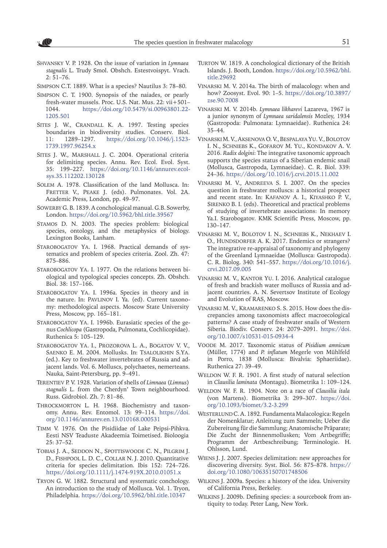<span id="page-12-21"></span>Shvansky V. P. 1928. On the issue of variation in *Lymnaea stagnalis* L. Trudy Smol. Obshch. Estestvoispyt. Vrach. 2: 51–76.

<span id="page-12-16"></span>Simpson C.T. 1889. What is a species? Nautilus 3: 78–80.

- <span id="page-12-17"></span>Simpson C. T. 1900. Synopsis of the naiades, or pearly fresh-water mussels. Proc. U.S. Nat. Mus. 22: vii+501– 1044. [https://doi.org/10.5479/si.00963801.22-](https://doi.org/10.5479/si.00963801.22-1205.501%0D) [1205.501](https://doi.org/10.5479/si.00963801.22-1205.501%0D)
- <span id="page-12-10"></span>SITES J. W., CRANDALL K. A. 1997. Testing species boundaries in biodiversity studies. Conserv. Biol. 11: 1289–1297. [https://doi.org/10.1046/j.1523-](https://doi.org/10.1046/j.1523-1739.1997.96254.x%0D) [1739.1997.96254.x](https://doi.org/10.1046/j.1523-1739.1997.96254.x%0D)
- <span id="page-12-9"></span>SITES J. W., MARSHALL J. C. 2004. Operational criteria for delimiting species. Annu. Rev. Ecol. Evol. Syst. 35: 199–227. [https://doi.org/10.1146/annurev.ecol](https://doi.org/10.1146/annurev.ecolsys.35.112202.130128)[sys.35.112202.130128](https://doi.org/10.1146/annurev.ecolsys.35.112202.130128)
- <span id="page-12-8"></span>Solem A. 1978. Classification of the land Mollusca. In: FRETTER V., PEAKE J. (eds). Pulmonates. Vol. 2A. Academic Press, London, pp. 49–97.
- <span id="page-12-14"></span>SOWERBY G. B. 1839. A conchological manual. G.B. Sowerby, London. <https://doi.org/10.5962/bhl.title.39567>
- <span id="page-12-0"></span>Stamos D. N. 2003. The species problem: biological species, ontology, and the metaphysics of biology. Lexington Books, Lanham.
- <span id="page-12-3"></span>STAROBOGATOV YA. I. 1968. Practical demands of systematics and problem of species criteria. Zool. Zh. 47: 875–886.
- <span id="page-12-4"></span>STAROBOGATOV YA. I. 1977. On the relations between biological and typological species concepts. Zh. Obshch. Biol. 38: 157–166.
- <span id="page-12-5"></span>Starobogatov Ya. I. 1996a. Species in theory and in the nature. In: Pavlinov I. Ya. (ed). Current taxonomy: methodological aspects. Moscow State University Press, Moscow, pp. 165–181.
- <span id="page-12-23"></span>STAROBOGATOV YA. I. 1996b. Eurasiatic species of the genus *Cochlicopa* (Gastropoda, Pulmonata, Cochlicopidae). Ruthenica 5: 105–129.
- <span id="page-12-29"></span>Starobogatov Ya. I., Prozorova L. A., Bogatov V. V., Saenko E. M. 2004. Mollusks. In: Tsalolikhin S.Ya. (ed.). Key to freshwater invertebrates of Russia and adjacent lands. Vol. 6. Molluscs, polychaetes, nemerteans. Nauka, Saint-Petersburg, pp. 9–491.
- Terentiev P. V. 1928. Variation of shells of *Limnaea* (*Limnus*) *stagnalis* L. from the Cherdyn' Town neighbourhood. Russ. Gidrobiol. Zh. 7: 81–86.
- <span id="page-12-22"></span>THROCKMORTON L. H. 1968. Biochemistry and taxonomy. Annu. Rev. Entomol. 13: 99–114. [https://doi.](https://doi.org/10.1146/annurev.en.13.010168.000531%0D) [org/10.1146/annurev.en.13.010168.000531](https://doi.org/10.1146/annurev.en.13.010168.000531%0D)
- <span id="page-12-26"></span>Timm V. 1976. On the Pisidiidae of Lake Peipsi-Pihkva. Eesti NSV Teaduste Akadeemia Toimetised. Bioloogia 25: 37–52.
- <span id="page-12-12"></span>Tobias J. A., Seddon N., Spottiswoode C. N., Pilgrim J. D., Fishpool L. D. C., Collar N. J. 2010. Quantitative criteria for species delimitation. Ibis 152: 724–726. [https://doi.org/10.1111/j.1474-919X.2010.01051.x](https://doi.org/10.1111/j.1474-919X.2010.01051.x%0D)
- <span id="page-12-18"></span>Tryon G. W. 1882. Structural and systematic conchology. An introduction to the study of Mollusca. Vol. 1. Tryon, Philadelphia. <https://doi.org/10.5962/bhl.title.10347>
- <span id="page-12-15"></span>TURTON W. 1819. A conchological dictionary of the British Islands. J. Booth, London. [https://doi.org/10.5962/bhl.](https://doi.org/10.5962/bhl.title.29692%0D) [title.29692](https://doi.org/10.5962/bhl.title.29692%0D)
- <span id="page-12-13"></span>Vinarski M. V. 2014a. The birth of malacology: when and how? Zoosyst. Evol. 90: 1–5. [https://doi.org/10.3897/](https://doi.org/10.3897/zse.90.7008%0D) [zse.90.7008](https://doi.org/10.3897/zse.90.7008%0D)
- <span id="page-12-27"></span>Vinarski M. V. 2014b. *Lymnaea likharevi* Lazareva, 1967 is a junior synonym of *Lymnaea saridalensis* Mozley, 1934 (Gastropoda: Pulmonata: Lymnaeidae). Ruthenica 24: 35–44.
- <span id="page-12-28"></span>Vinarski M. V., Aksenova O. V., Bespalaya Yu. V., Bolotov I. N., Schniebs K., Gofarov M. Yu., Kondakov A. V. 2016. *Radix dolgini*: The integrative taxonomic approach supports the species status of a Siberian endemic snail (Mollusca, Gastropoda, Lymnaeidae). C. R. Biol. 339: 24–36.<https://doi.org/10.1016/j.crvi.2015.11.002>
- <span id="page-12-6"></span>Vinarski M. V., Andreeva S. I. 2007. On the species question in freshwater molluscs: a historical prospect and recent state. In: Kafanov A. I., Kiyashko P. V., SIRENKO B. I. (eds). Theoretical and practical problems of studying of invertebrate associations: In memory Ya.I. Starobogatov*.* KMK Scientific Press, Moscow, pp. 130–147.
- <span id="page-12-30"></span>Vinarski M. V., Bolotov I. N., Schniebs K., Nekhaev I. O., HUNDSDORFER A. K. 2017. Endemics or strangers? The integrative re-appraisal of taxonomy and phylogeny of the Greenland Lymnaeidae (Mollusca: Gastropoda). C. R. Biolog. 340: 541–557. [https://doi.org/10.1016/j.](https://doi.org/10.1016/j.crvi.2017.09.005%0D) [crvi.2017.09.005](https://doi.org/10.1016/j.crvi.2017.09.005%0D)
- <span id="page-12-25"></span>Vinarski M. V., Kantor Yu. I. 2016. Analytical catalogue of fresh and brackish water molluscs of Russia and adjacent countries. A. N. Severtsov Institute of Ecology and Evolution of RAS, Moscow.
- <span id="page-12-24"></span>Vinarski M. V., Kramarenko S. S. 2015. How does the discrepancies among taxonomists affect macroecological patterns? A case study of freshwater snails of Western Siberia. Biodiv. Conserv. 24: 2079–2091. [https://doi.](https://doi.org/10.1007/s10531-015-0934-4%0D) [org/10.1007/s10531-015-0934-4](https://doi.org/10.1007/s10531-015-0934-4%0D)
- Voode M. 2017. Taxonomic status of *Pisidium amnicum* (Müller, 1774) and *P. inflatum* Megerle von Mühlfeld in Porro, 1838 (Mollusca: Bivalvia: Sphaeriidae). Ruthenica 27: 39–49.
- <span id="page-12-19"></span>WELDON W. F. R. 1901. A first study of natural selection in *Clausilia laminata* (Montagu). Biometrika 1: 109–124.
- <span id="page-12-20"></span>Weldon W. F. R. 1904. Note on a race of *Clausilia itala*  (von Martens). Biometrika 3: 299–307. [https://doi.](https://doi.org/10.1093/biomet/3.2-3.299%0D) [org/10.1093/biomet/3.2-3.299](https://doi.org/10.1093/biomet/3.2-3.299%0D)
- <span id="page-12-7"></span>WESTERLUND C. A. 1892. Fundamenta Malacologica: Regeln der Nomenklatur; Anleitung zum Sammeln; Ueber die Zubereitung für die Sammlung; Anatomische Präparate; Die Zucht der Binnenmollusken; Vom Artbegriffe; Programm der Artbeschreibung; Terminologie. H. Ohlsson, Lund.
- <span id="page-12-11"></span>Wiens J. J. 2007. Species delimitation: new approaches for discovering diversity. Syst. Biol. 56: 875–878. [https://](https://doi.org/10.1080/10635150701748506%0D) [doi.org/10.1080/10635150701748506](https://doi.org/10.1080/10635150701748506%0D)
- <span id="page-12-1"></span>Wilkins J. 2009a. Species: a history of the idea. University of California Press, Berkeley.
- <span id="page-12-2"></span>Wilkins J. 2009b. Defining species: a sourcebook from antiquity to today. Peter Lang, New York.